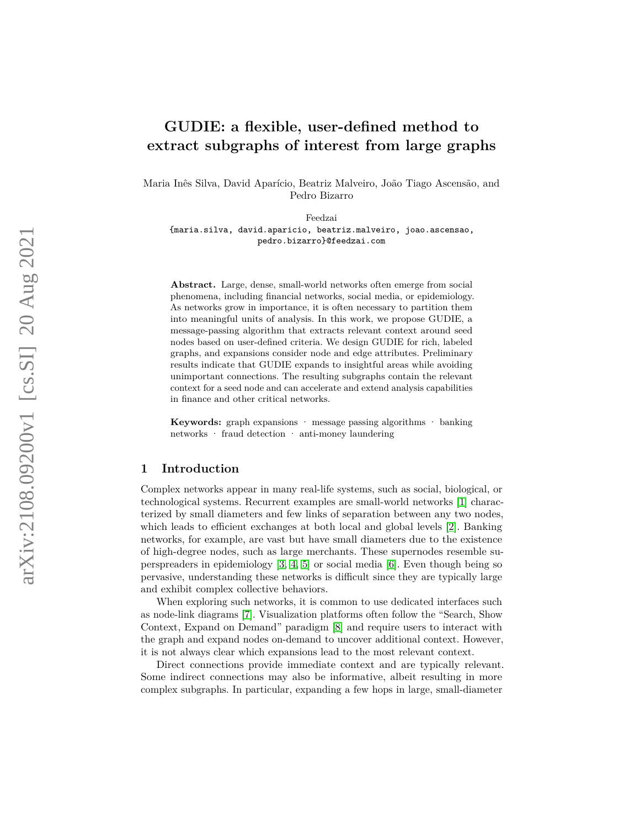# **GUDIE: a flexible, user-defined method to extract subgraphs of interest from large graphs**

Maria Inês Silva, David Aparício, Beatriz Malveiro, João Tiago Ascensão, and Pedro Bizarro

Feedzai

{maria.silva, david.aparicio, beatriz.malveiro, joao.ascensao, pedro.bizarro}@feedzai.com

**Abstract.** Large, dense, small-world networks often emerge from social phenomena, including financial networks, social media, or epidemiology. As networks grow in importance, it is often necessary to partition them into meaningful units of analysis. In this work, we propose GUDIE, a message-passing algorithm that extracts relevant context around seed nodes based on user-defined criteria. We design GUDIE for rich, labeled graphs, and expansions consider node and edge attributes. Preliminary results indicate that GUDIE expands to insightful areas while avoiding unimportant connections. The resulting subgraphs contain the relevant context for a seed node and can accelerate and extend analysis capabilities in finance and other critical networks.

Keywords: graph expansions · message passing algorithms · banking networks · fraud detection · anti-money laundering

# **1 Introduction**

Complex networks appear in many real-life systems, such as social, biological, or technological systems. Recurrent examples are small-world networks [ [1\]](#page-8-0) characterized by small diameters and few links of separation between any two nodes, which leads to efficient exchanges at both local and global levels [ [2\]](#page-8-1). Banking networks, for example, are vast but have small diameters due to the existence of high-degree nodes, such as large merchants. These supernodes resemble superspreaders in epidemiology [\[3,](#page-8-2) [4,](#page-8-3) [5\]](#page-8-4) or social media [\[6\]](#page-8-5). Even though being so pervasive, understanding these networks is difficult since they are typically large and exhibit complex collective behaviors.

When exploring such networks, it is common to use dedicated interfaces such as node-link diagrams [ [7\]](#page-8-6). Visualization platforms often follow the "Search, Show Context, Expand on Demand" paradigm [ [8\]](#page-8-7) and require users to interact with the graph and expand nodes on-demand to uncover additional context. However, it is not always clear which expansions lead to the most relevant context.

Direct connections provide immediate context and are typically relevant. Some indirect connections may also be informative, albeit resulting in more complex subgraphs. In particular, expanding a few hops in large, small-diameter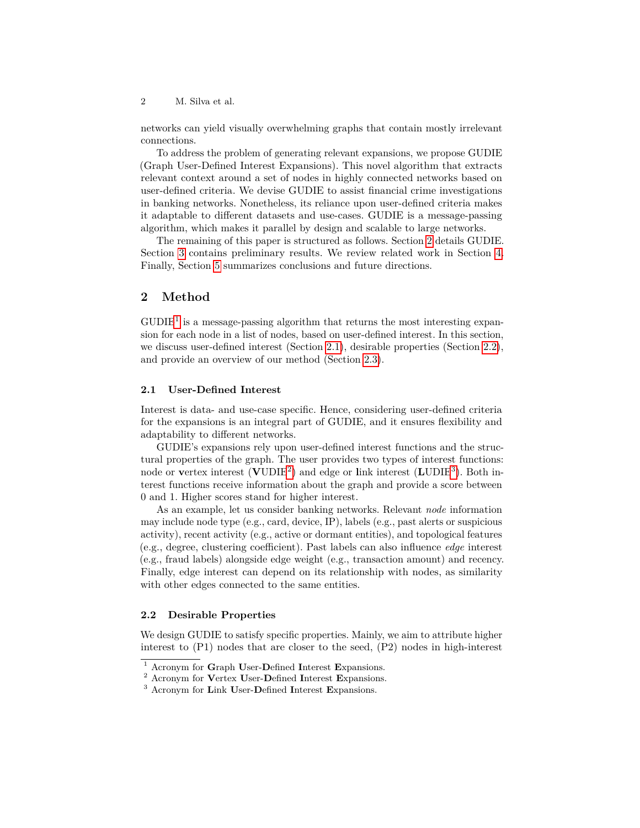networks can yield visually overwhelming graphs that contain mostly irrelevant connections.

To address the problem of generating relevant expansions, we propose GUDIE (Graph User-Defined Interest Expansions). This novel algorithm that extracts relevant context around a set of nodes in highly connected networks based on user-defined criteria. We devise GUDIE to assist financial crime investigations in banking networks. Nonetheless, its reliance upon user-defined criteria makes it adaptable to different datasets and use-cases. GUDIE is a message-passing algorithm, which makes it parallel by design and scalable to large networks.

The remaining of this paper is structured as follows. Section [2](#page-1-0) details GUDIE. Section [3](#page-3-0) contains preliminary results. We review related work in Section [4.](#page-7-0) Finally, Section [5](#page-7-1) summarizes conclusions and future directions.

# <span id="page-1-0"></span>**2 Method**

 $\text{GUDIE}^1$  $\text{GUDIE}^1$  is a message-passing algorithm that returns the most interesting expansion for each node in a list of nodes, based on user-defined interest. In this section, we discuss user-defined interest (Section [2.1\)](#page-1-2), desirable properties (Section [2.2\)](#page-1-3), and provide an overview of our method (Section [2.3\)](#page-2-0).

### <span id="page-1-2"></span>**2.1 User-Defined Interest**

Interest is data- and use-case specific. Hence, considering user-defined criteria for the expansions is an integral part of GUDIE, and it ensures flexibility and adaptability to different networks.

GUDIE's expansions rely upon user-defined interest functions and the structural properties of the graph. The user provides two types of interest functions: node or **v**ertex interest (**V**UDIE[2](#page-1-4) ) and edge or **l**ink interest (**L**UDIE[3](#page-1-5) ). Both interest functions receive information about the graph and provide a score between 0 and 1. Higher scores stand for higher interest.

As an example, let us consider banking networks. Relevant *node* information may include node type (e.g., card, device, IP), labels (e.g., past alerts or suspicious activity), recent activity (e.g., active or dormant entities), and topological features (e.g., degree, clustering coefficient). Past labels can also influence *edge* interest (e.g., fraud labels) alongside edge weight (e.g., transaction amount) and recency. Finally, edge interest can depend on its relationship with nodes, as similarity with other edges connected to the same entities.

# <span id="page-1-3"></span>**2.2 Desirable Properties**

We design GUDIE to satisfy specific properties. Mainly, we aim to attribute higher interest to (P1) nodes that are closer to the seed, (P2) nodes in high-interest

<span id="page-1-1"></span><sup>1</sup> Acronym for **G**raph **U**ser-**D**efined **I**nterest **E**xpansions.

<span id="page-1-4"></span><sup>2</sup> Acronym for **V**ertex **U**ser-**D**efined **I**nterest **E**xpansions.

<span id="page-1-5"></span><sup>3</sup> Acronym for **L**ink **U**ser-**D**efined **I**nterest **E**xpansions.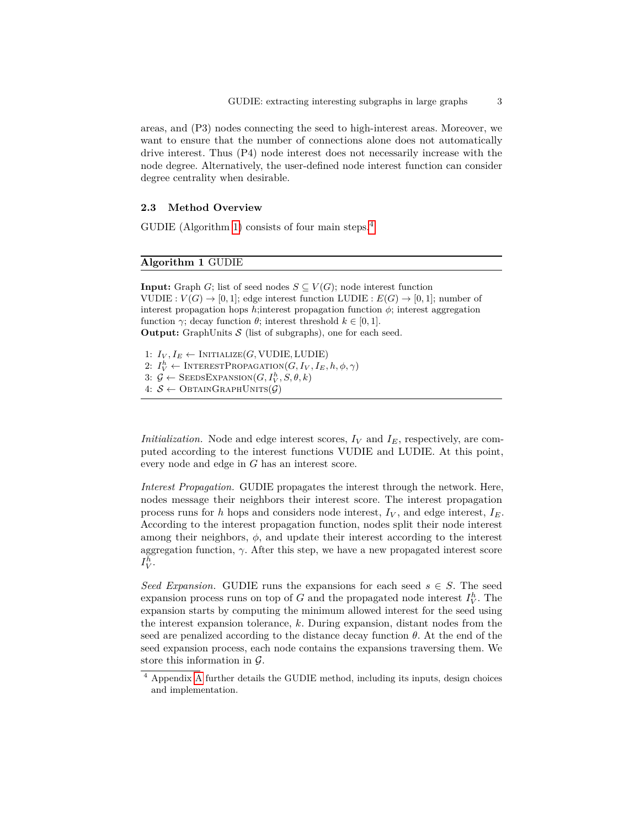areas, and (P3) nodes connecting the seed to high-interest areas. Moreover, we want to ensure that the number of connections alone does not automatically drive interest. Thus (P4) node interest does not necessarily increase with the node degree. Alternatively, the user-defined node interest function can consider degree centrality when desirable.

# <span id="page-2-0"></span>**2.3 Method Overview**

GUDIE (Algorithm [1\)](#page-2-1) consists of four main steps.<sup>[4](#page-2-2)</sup>

# <span id="page-2-1"></span>**Algorithm 1** GUDIE

**Input:** Graph *G*; list of seed nodes  $S \subseteq V(G)$ ; node interest function VUDIE :  $V(G) \rightarrow [0, 1]$ ; edge interest function LUDIE :  $E(G) \rightarrow [0, 1]$ ; number of interest propagation hops  $h$ ; interest propagation function  $\phi$ ; interest aggregation function  $\gamma$ ; decay function  $\theta$ ; interest threshold  $k \in [0, 1]$ . **Output:** GraphUnits  $S$  (list of subgraphs), one for each seed.

1:  $I_V, I_E \leftarrow \text{INITIALIZE}(G, \text{VUDIE}, \text{LUDIE})$ 2:  $I_V^h \leftarrow \text{INTERESTPROPAGATION}(G, I_V, I_E, h, \phi, \gamma)$ 3:  $\mathcal{G} \leftarrow$  Seeds Expansion  $(G, I_V^h, S, \theta, k)$ 4:  $S \leftarrow$  ObtainGraphUnits( $\mathcal{G}$ )

*Initialization.* Node and edge interest scores,  $I_V$  and  $I_E$ , respectively, are computed according to the interest functions VUDIE and LUDIE. At this point, every node and edge in *G* has an interest score.

*Interest Propagation.* GUDIE propagates the interest through the network. Here, nodes message their neighbors their interest score. The interest propagation process runs for *h* hops and considers node interest,  $I_V$ , and edge interest,  $I_E$ . According to the interest propagation function, nodes split their node interest among their neighbors,  $\phi$ , and update their interest according to the interest aggregation function,  $\gamma$ . After this step, we have a new propagated interest score  $I_V^h$ .

*Seed Expansion.* GUDIE runs the expansions for each seed  $s \in S$ . The seed expansion process runs on top of *G* and the propagated node interest  $I_V^h$ . The expansion starts by computing the minimum allowed interest for the seed using the interest expansion tolerance, *k*. During expansion, distant nodes from the seed are penalized according to the distance decay function  $\theta$ . At the end of the seed expansion process, each node contains the expansions traversing them. We store this information in  $\mathcal{G}$ .

<span id="page-2-2"></span><sup>4</sup> Appendix [A](#page-9-0) further details the GUDIE method, including its inputs, design choices and implementation.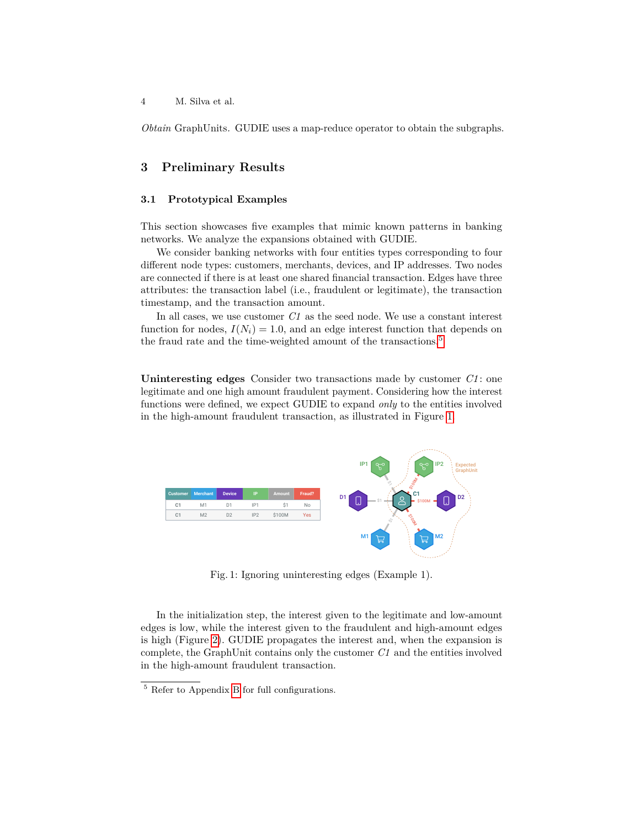*Obtain* GraphUnits*.* GUDIE uses a map-reduce operator to obtain the subgraphs.

# <span id="page-3-0"></span>**3 Preliminary Results**

# **3.1 Prototypical Examples**

This section showcases five examples that mimic known patterns in banking networks. We analyze the expansions obtained with GUDIE.

We consider banking networks with four entities types corresponding to four different node types: customers, merchants, devices, and IP addresses. Two nodes are connected if there is at least one shared financial transaction. Edges have three attributes: the transaction label (i.e., fraudulent or legitimate), the transaction timestamp, and the transaction amount.

In all cases, we use customer *C1* as the seed node. We use a constant interest function for nodes,  $I(N_i) = 1.0$ , and an edge interest function that depends on the fraud rate and the time-weighted amount of the transactions.<sup>[5](#page-3-1)</sup>

**Uninteresting edges** Consider two transactions made by customer *C1* : one legitimate and one high amount fraudulent payment. Considering how the interest functions were defined, we expect GUDIE to expand *only* to the entities involved in the high-amount fraudulent transaction, as illustrated in Figure [1.](#page-3-2)

<span id="page-3-2"></span>

Fig. 1: Ignoring uninteresting edges (Example 1).

In the initialization step, the interest given to the legitimate and low-amount edges is low, while the interest given to the fraudulent and high-amount edges is high (Figure [2\)](#page-4-0). GUDIE propagates the interest and, when the expansion is complete, the GraphUnit contains only the customer *C1* and the entities involved in the high-amount fraudulent transaction.

<span id="page-3-1"></span><sup>5</sup> Refer to Appendix [B](#page-14-0) for full configurations.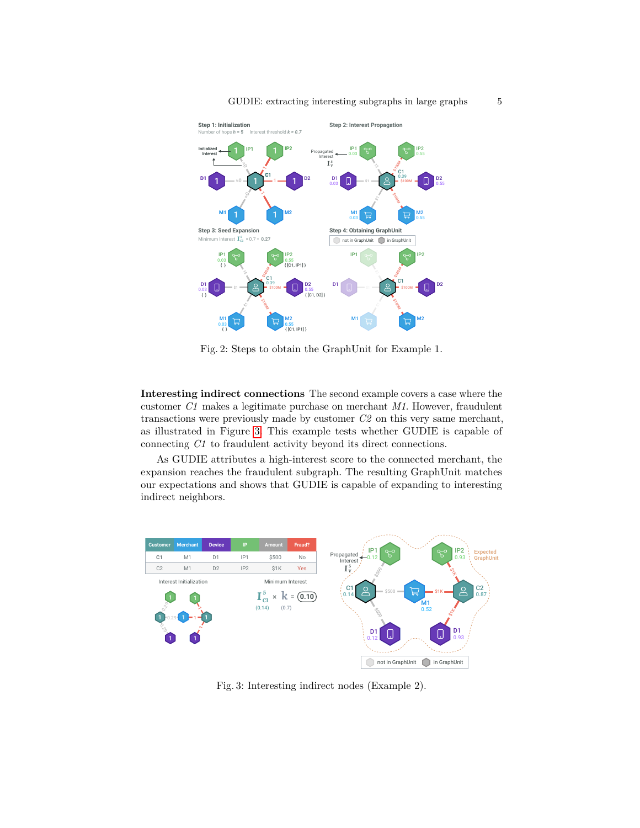

<span id="page-4-0"></span>

Fig. 2: Steps to obtain the GraphUnit for Example 1.

**Interesting indirect connections** The second example covers a case where the customer *C1* makes a legitimate purchase on merchant *M1*. However, fraudulent transactions were previously made by customer *C2* on this very same merchant, as illustrated in Figure [3.](#page-4-1) This example tests whether GUDIE is capable of connecting *C1* to fraudulent activity beyond its direct connections.

As GUDIE attributes a high-interest score to the connected merchant, the expansion reaches the fraudulent subgraph. The resulting GraphUnit matches our expectations and shows that GUDIE is capable of expanding to interesting indirect neighbors.

<span id="page-4-1"></span>

Fig. 3: Interesting indirect nodes (Example 2).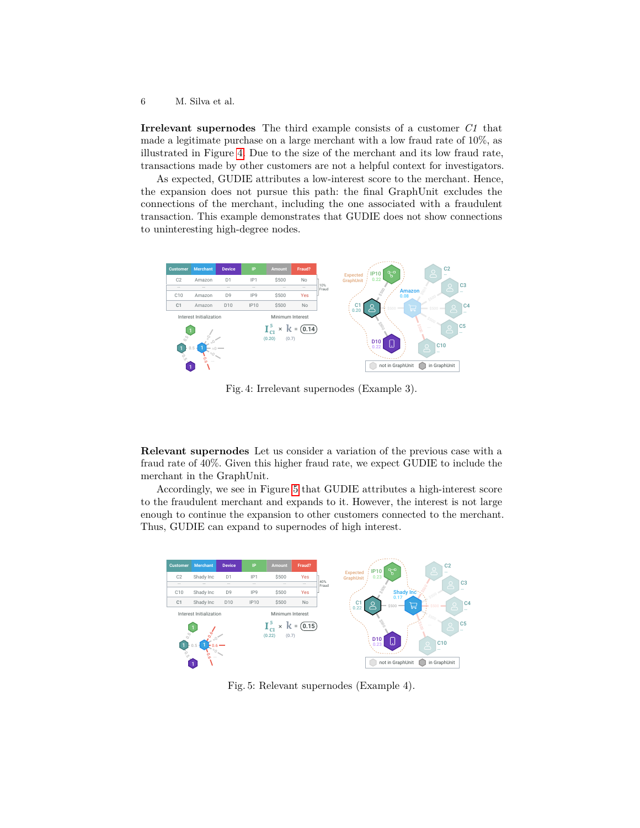**Irrelevant supernodes** The third example consists of a customer *C1* that made a legitimate purchase on a large merchant with a low fraud rate of 10%, as illustrated in Figure [4.](#page-5-0) Due to the size of the merchant and its low fraud rate, transactions made by other customers are not a helpful context for investigators.

As expected, GUDIE attributes a low-interest score to the merchant. Hence, the expansion does not pursue this path: the final GraphUnit excludes the connections of the merchant, including the one associated with a fraudulent transaction. This example demonstrates that GUDIE does not show connections to uninteresting high-degree nodes.

<span id="page-5-0"></span>

Fig. 4: Irrelevant supernodes (Example 3).

**Relevant supernodes** Let us consider a variation of the previous case with a fraud rate of 40%. Given this higher fraud rate, we expect GUDIE to include the merchant in the GraphUnit.

Accordingly, we see in Figure [5](#page-5-1) that GUDIE attributes a high-interest score to the fraudulent merchant and expands to it. However, the interest is not large enough to continue the expansion to other customers connected to the merchant. Thus, GUDIE can expand to supernodes of high interest.

<span id="page-5-1"></span>

Fig. 5: Relevant supernodes (Example 4).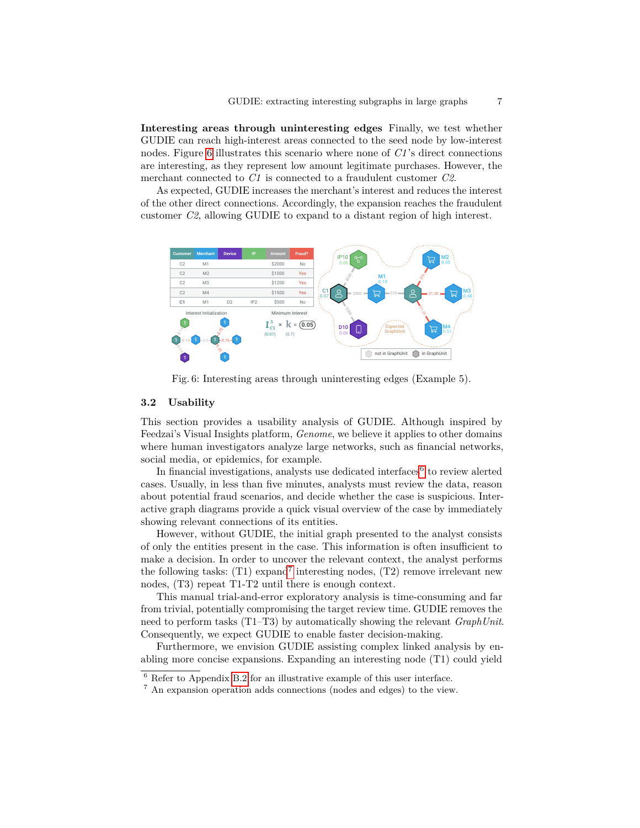**Interesting areas through uninteresting edges** Finally, we test whether GUDIE can reach high-interest areas connected to the seed node by low-interest nodes. Figure [6](#page-6-0) illustrates this scenario where none of *C1* 's direct connections are interesting, as they represent low amount legitimate purchases. However, the merchant connected to *C1* is connected to a fraudulent customer *C2*.

As expected, GUDIE increases the merchant's interest and reduces the interest of the other direct connections. Accordingly, the expansion reaches the fraudulent customer *C2*, allowing GUDIE to expand to a distant region of high interest.

<span id="page-6-0"></span>

Fig. 6: Interesting areas through uninteresting edges (Example 5).

# **3.2 Usability**

This section provides a usability analysis of GUDIE. Although inspired by Feedzai's Visual Insights platform, *Genome*, we believe it applies to other domains where human investigators analyze large networks, such as financial networks, social media, or epidemics, for example.

In financial investigations, analysts use dedicated interfaces<sup>[6](#page-6-1)</sup> to review alerted cases. Usually, in less than five minutes, analysts must review the data, reason about potential fraud scenarios, and decide whether the case is suspicious. Interactive graph diagrams provide a quick visual overview of the case by immediately showing relevant connections of its entities.

However, without GUDIE, the initial graph presented to the analyst consists of only the entities present in the case. This information is often insufficient to make a decision. In order to uncover the relevant context, the analyst performs the following tasks:  $(T1)$  expand<sup>[7](#page-6-2)</sup> interesting nodes,  $(T2)$  remove irrelevant new nodes, (T3) repeat T1-T2 until there is enough context.

This manual trial-and-error exploratory analysis is time-consuming and far from trivial, potentially compromising the target review time. GUDIE removes the need to perform tasks (T1–T3) by automatically showing the relevant *GraphUnit*. Consequently, we expect GUDIE to enable faster decision-making.

Furthermore, we envision GUDIE assisting complex linked analysis by enabling more concise expansions. Expanding an interesting node (T1) could yield

<span id="page-6-1"></span> $\frac{6}{6}$  Refer to Appendix [B.2](#page-15-0) for an illustrative example of this user interface.

<span id="page-6-2"></span><sup>7</sup> An expansion operation adds connections (nodes and edges) to the view.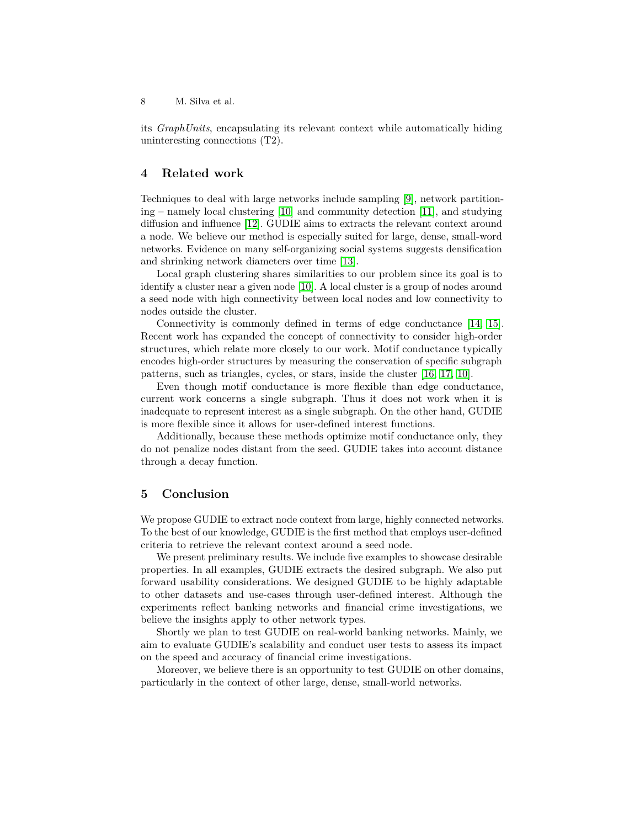its *GraphUnits*, encapsulating its relevant context while automatically hiding uninteresting connections (T2).

# <span id="page-7-0"></span>**4 Related work**

Techniques to deal with large networks include sampling [\[9\]](#page-8-8), network partitioning – namely local clustering [\[10\]](#page-8-9) and community detection [\[11\]](#page-8-10), and studying diffusion and influence [\[12\]](#page-8-11). GUDIE aims to extracts the relevant context around a node. We believe our method is especially suited for large, dense, small-word networks. Evidence on many self-organizing social systems suggests densification and shrinking network diameters over time [\[13\]](#page-8-12).

Local graph clustering shares similarities to our problem since its goal is to identify a cluster near a given node [\[10\]](#page-8-9). A local cluster is a group of nodes around a seed node with high connectivity between local nodes and low connectivity to nodes outside the cluster.

Connectivity is commonly defined in terms of edge conductance [\[14,](#page-8-13) [15\]](#page-8-14). Recent work has expanded the concept of connectivity to consider high-order structures, which relate more closely to our work. Motif conductance typically encodes high-order structures by measuring the conservation of specific subgraph patterns, such as triangles, cycles, or stars, inside the cluster [\[16,](#page-9-1) [17,](#page-9-2) [10\]](#page-8-9).

Even though motif conductance is more flexible than edge conductance, current work concerns a single subgraph. Thus it does not work when it is inadequate to represent interest as a single subgraph. On the other hand, GUDIE is more flexible since it allows for user-defined interest functions.

Additionally, because these methods optimize motif conductance only, they do not penalize nodes distant from the seed. GUDIE takes into account distance through a decay function.

# <span id="page-7-1"></span>**5 Conclusion**

We propose GUDIE to extract node context from large, highly connected networks. To the best of our knowledge, GUDIE is the first method that employs user-defined criteria to retrieve the relevant context around a seed node.

We present preliminary results. We include five examples to showcase desirable properties. In all examples, GUDIE extracts the desired subgraph. We also put forward usability considerations. We designed GUDIE to be highly adaptable to other datasets and use-cases through user-defined interest. Although the experiments reflect banking networks and financial crime investigations, we believe the insights apply to other network types.

Shortly we plan to test GUDIE on real-world banking networks. Mainly, we aim to evaluate GUDIE's scalability and conduct user tests to assess its impact on the speed and accuracy of financial crime investigations.

Moreover, we believe there is an opportunity to test GUDIE on other domains, particularly in the context of other large, dense, small-world networks.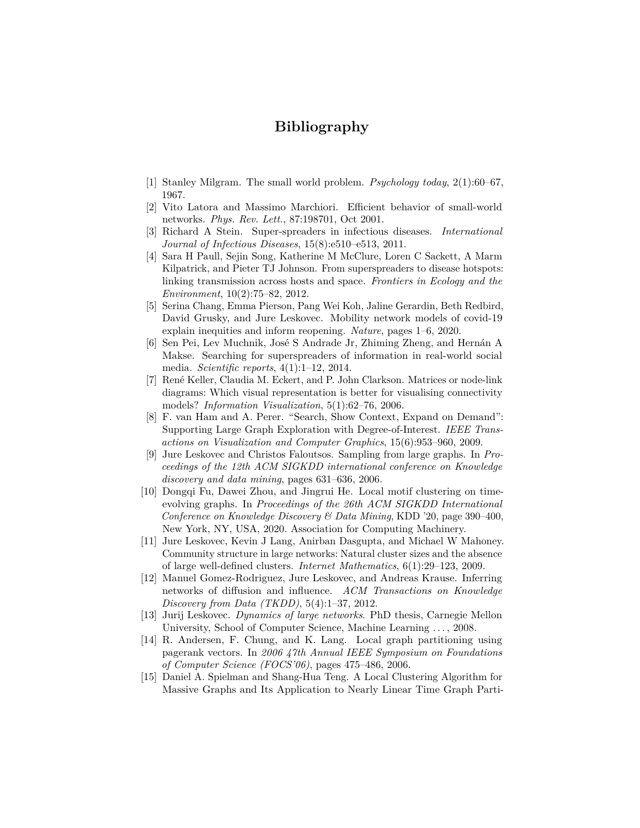# **Bibliography**

- <span id="page-8-0"></span>[1] Stanley Milgram. The small world problem. *Psychology today*, 2(1):60–67, 1967.
- <span id="page-8-1"></span>[2] Vito Latora and Massimo Marchiori. Efficient behavior of small-world networks. *Phys. Rev. Lett.*, 87:198701, Oct 2001.
- <span id="page-8-2"></span>[3] Richard A Stein. Super-spreaders in infectious diseases. *International Journal of Infectious Diseases*, 15(8):e510–e513, 2011.
- <span id="page-8-3"></span>[4] Sara H Paull, Sejin Song, Katherine M McClure, Loren C Sackett, A Marm Kilpatrick, and Pieter TJ Johnson. From superspreaders to disease hotspots: linking transmission across hosts and space. *Frontiers in Ecology and the Environment*, 10(2):75–82, 2012.
- <span id="page-8-4"></span>[5] Serina Chang, Emma Pierson, Pang Wei Koh, Jaline Gerardin, Beth Redbird, David Grusky, and Jure Leskovec. Mobility network models of covid-19 explain inequities and inform reopening. *Nature*, pages 1–6, 2020.
- <span id="page-8-5"></span>[6] Sen Pei, Lev Muchnik, José S Andrade Jr, Zhiming Zheng, and Hernán A Makse. Searching for superspreaders of information in real-world social media. *Scientific reports*, 4(1):1–12, 2014.
- <span id="page-8-6"></span>[7] René Keller, Claudia M. Eckert, and P. John Clarkson. Matrices or node-link diagrams: Which visual representation is better for visualising connectivity models? *Information Visualization*, 5(1):62–76, 2006.
- <span id="page-8-7"></span>[8] F. van Ham and A. Perer. "Search, Show Context, Expand on Demand": Supporting Large Graph Exploration with Degree-of-Interest. *IEEE Transactions on Visualization and Computer Graphics*, 15(6):953–960, 2009.
- <span id="page-8-8"></span>[9] Jure Leskovec and Christos Faloutsos. Sampling from large graphs. In *Proceedings of the 12th ACM SIGKDD international conference on Knowledge discovery and data mining*, pages 631–636, 2006.
- <span id="page-8-9"></span>[10] Dongqi Fu, Dawei Zhou, and Jingrui He. Local motif clustering on timeevolving graphs. In *Proceedings of the 26th ACM SIGKDD International Conference on Knowledge Discovery & Data Mining*, KDD '20, page 390–400, New York, NY, USA, 2020. Association for Computing Machinery.
- <span id="page-8-10"></span>[11] Jure Leskovec, Kevin J Lang, Anirban Dasgupta, and Michael W Mahoney. Community structure in large networks: Natural cluster sizes and the absence of large well-defined clusters. *Internet Mathematics*, 6(1):29–123, 2009.
- <span id="page-8-11"></span>[12] Manuel Gomez-Rodriguez, Jure Leskovec, and Andreas Krause. Inferring networks of diffusion and influence. *ACM Transactions on Knowledge Discovery from Data (TKDD)*, 5(4):1–37, 2012.
- <span id="page-8-12"></span>[13] Jurij Leskovec. *Dynamics of large networks*. PhD thesis, Carnegie Mellon University, School of Computer Science, Machine Learning . . . , 2008.
- <span id="page-8-13"></span>[14] R. Andersen, F. Chung, and K. Lang. Local graph partitioning using pagerank vectors. In *2006 47th Annual IEEE Symposium on Foundations of Computer Science (FOCS'06)*, pages 475–486, 2006.
- <span id="page-8-14"></span>[15] Daniel A. Spielman and Shang-Hua Teng. A Local Clustering Algorithm for Massive Graphs and Its Application to Nearly Linear Time Graph Parti-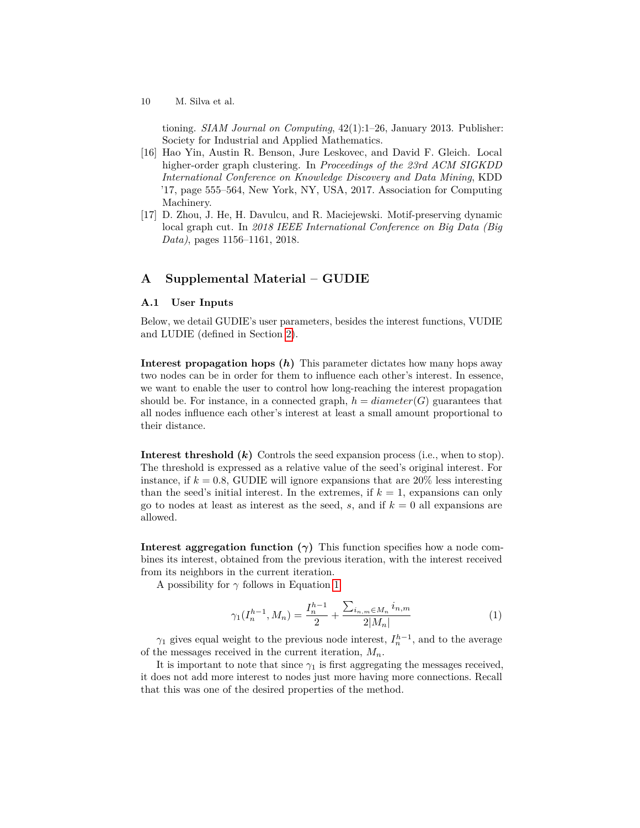tioning. *SIAM Journal on Computing*, 42(1):1–26, January 2013. Publisher: Society for Industrial and Applied Mathematics.

- <span id="page-9-1"></span>[16] Hao Yin, Austin R. Benson, Jure Leskovec, and David F. Gleich. Local higher-order graph clustering. In *Proceedings of the 23rd ACM SIGKDD International Conference on Knowledge Discovery and Data Mining*, KDD '17, page 555–564, New York, NY, USA, 2017. Association for Computing Machinery.
- <span id="page-9-2"></span>[17] D. Zhou, J. He, H. Davulcu, and R. Maciejewski. Motif-preserving dynamic local graph cut. In *2018 IEEE International Conference on Big Data (Big Data)*, pages 1156–1161, 2018.

# <span id="page-9-0"></span>**A Supplemental Material – GUDIE**

#### **A.1 User Inputs**

Below, we detail GUDIE's user parameters, besides the interest functions, VUDIE and LUDIE (defined in Section [2\)](#page-1-0).

**Interest propagation hops (***h***)** This parameter dictates how many hops away two nodes can be in order for them to influence each other's interest. In essence, we want to enable the user to control how long-reaching the interest propagation should be. For instance, in a connected graph,  $h = diameter(G)$  guarantees that all nodes influence each other's interest at least a small amount proportional to their distance.

**Interest threshold (***k***)** Controls the seed expansion process (i.e., when to stop). The threshold is expressed as a relative value of the seed's original interest. For instance, if  $k = 0.8$ , GUDIE will ignore expansions that are  $20\%$  less interesting than the seed's initial interest. In the extremes, if  $k = 1$ , expansions can only go to nodes at least as interest as the seed,  $s$ , and if  $k = 0$  all expansions are allowed.

**Interest aggregation function**  $(\gamma)$  This function specifies how a node combines its interest, obtained from the previous iteration, with the interest received from its neighbors in the current iteration.

<span id="page-9-3"></span>A possibility for *γ* follows in Equation [1:](#page-9-3)

$$
\gamma_1(I_n^{h-1}, M_n) = \frac{I_n^{h-1}}{2} + \frac{\sum_{i_{n,m} \in M_n} i_{n,m}}{2|M_n|} \tag{1}
$$

*γ*<sub>1</sub> gives equal weight to the previous node interest,  $I_n^{h-1}$ , and to the average of the messages received in the current iteration, *Mn*.

It is important to note that since  $\gamma_1$  is first aggregating the messages received, it does not add more interest to nodes just more having more connections. Recall that this was one of the desired properties of the method.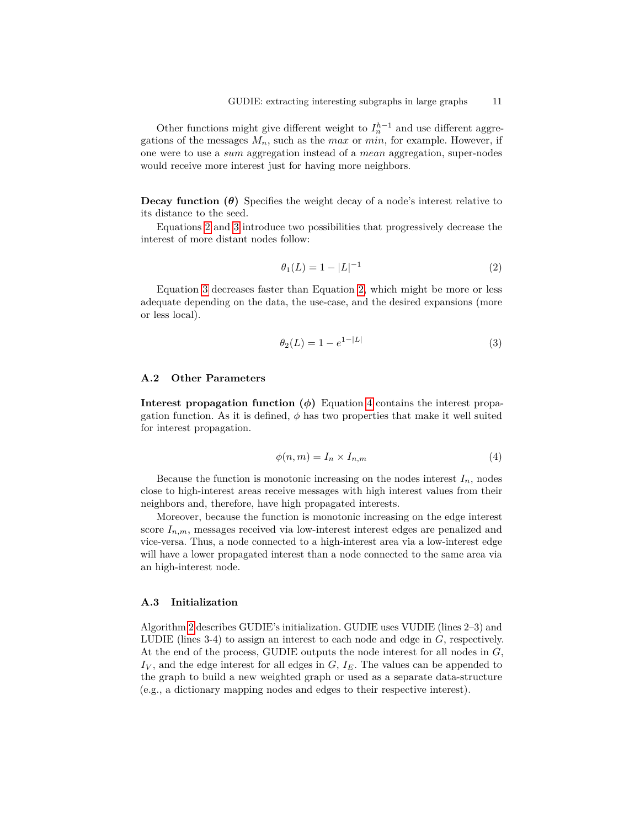Other functions might give different weight to  $I_n^{h-1}$  and use different aggregations of the messages  $M_n$ , such as the *max* or *min*, for example. However, if one were to use a *sum* aggregation instead of a *mean* aggregation, super-nodes would receive more interest just for having more neighbors.

**Decay function**  $(\theta)$  Specifies the weight decay of a node's interest relative to its distance to the seed.

<span id="page-10-0"></span>Equations [2](#page-10-0) and [3](#page-10-1) introduce two possibilities that progressively decrease the interest of more distant nodes follow:

$$
\theta_1(L) = 1 - |L|^{-1} \tag{2}
$$

<span id="page-10-1"></span>Equation [3](#page-10-1) decreases faster than Equation [2,](#page-10-0) which might be more or less adequate depending on the data, the use-case, and the desired expansions (more or less local).

$$
\theta_2(L) = 1 - e^{1 - |L|} \tag{3}
$$

### **A.2 Other Parameters**

<span id="page-10-2"></span>**Interest propagation function**  $(\phi)$  Equation [4](#page-10-2) contains the interest propagation function. As it is defined,  $\phi$  has two properties that make it well suited for interest propagation.

$$
\phi(n,m) = I_n \times I_{n,m} \tag{4}
$$

Because the function is monotonic increasing on the nodes interest  $I_n$ , nodes close to high-interest areas receive messages with high interest values from their neighbors and, therefore, have high propagated interests.

Moreover, because the function is monotonic increasing on the edge interest score  $I_{n,m}$ , messages received via low-interest interest edges are penalized and vice-versa. Thus, a node connected to a high-interest area via a low-interest edge will have a lower propagated interest than a node connected to the same area via an high-interest node.

### **A.3 Initialization**

Algorithm [2](#page-11-0) describes GUDIE's initialization. GUDIE uses VUDIE (lines 2–3) and LUDIE (lines 3-4) to assign an interest to each node and edge in *G*, respectively. At the end of the process, GUDIE outputs the node interest for all nodes in *G*, *I<sup>V</sup>* , and the edge interest for all edges in *G*, *IE*. The values can be appended to the graph to build a new weighted graph or used as a separate data-structure (e.g., a dictionary mapping nodes and edges to their respective interest).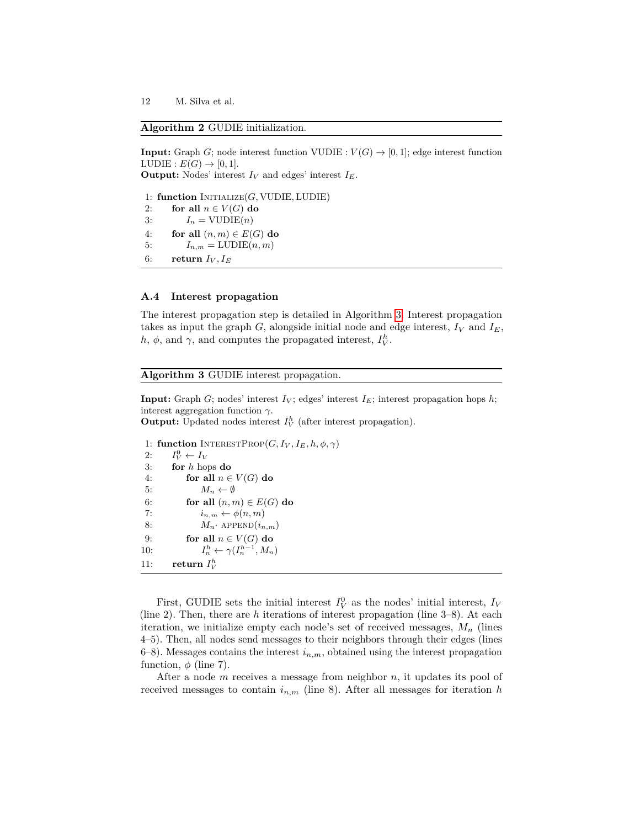## <span id="page-11-0"></span>**Algorithm 2** GUDIE initialization.

```
Input: Graph G; node interest function VUDIE : V(G) \rightarrow [0, 1]; edge interest function
LUDIE : E(G) \rightarrow [0,1].Output: Nodes' interest I_V and edges' interest I_E.
```
1: **function** Initialize(*G,* VUDIE*,* LUDIE) 2: **for all**  $n \in V(G)$  **do** 3:  $I_n = \text{VUDIE}(n)$ 4: **for all**  $(n, m) \in E(G)$  **do** 5:  $I_{n,m} = \text{LUDIE}(n,m)$ 6: **return**  $I_V, I_E$ 

#### **A.4 Interest propagation**

The interest propagation step is detailed in Algorithm [3.](#page-11-1) Interest propagation takes as input the graph  $G$ , alongside initial node and edge interest,  $I_V$  and  $I_E$ , *h*,  $\phi$ , and  $\gamma$ , and computes the propagated interest,  $I_V^h$ .

### <span id="page-11-1"></span>**Algorithm 3** GUDIE interest propagation.

**Input:** Graph *G*; nodes' interest  $I_V$ ; edges' interest  $I_E$ ; interest propagation hops  $h$ ; interest aggregation function *γ*.

**Output:** Updated nodes interest  $I_V^h$  (after interest propagation).

```
1: function INTERESTPROP(G, I_V, I_E, h, \phi, \gamma)2: I
         V^0V \leftarrow I_V3: for h hops do
 4: for all n \in V(G) do
 5: M_n \leftarrow \emptyset6: for all (n, m) \in E(G) do
 7: i_{n,m} \leftarrow \phi(n,m)8: M_n· APPEND(i_{n,m})9: for all n \in V(G) do
10: I
                 \gamma_n^h \leftarrow \gamma(I_n^{h-1}, M_n)11: return I_V^h
```
First, GUDIE sets the initial interest  $I_V^0$  as the nodes' initial interest,  $I_V$ (line 2). Then, there are *h* iterations of interest propagation (line 3–8). At each iteration, we initialize empty each node's set of received messages,  $M_n$  (lines 4–5). Then, all nodes send messages to their neighbors through their edges (lines 6–8). Messages contains the interest  $i_{n,m}$ , obtained using the interest propagation function,  $\phi$  (line 7).

After a node *m* receives a message from neighbor *n*, it updates its pool of received messages to contain  $i_{n,m}$  (line 8). After all messages for iteration *h*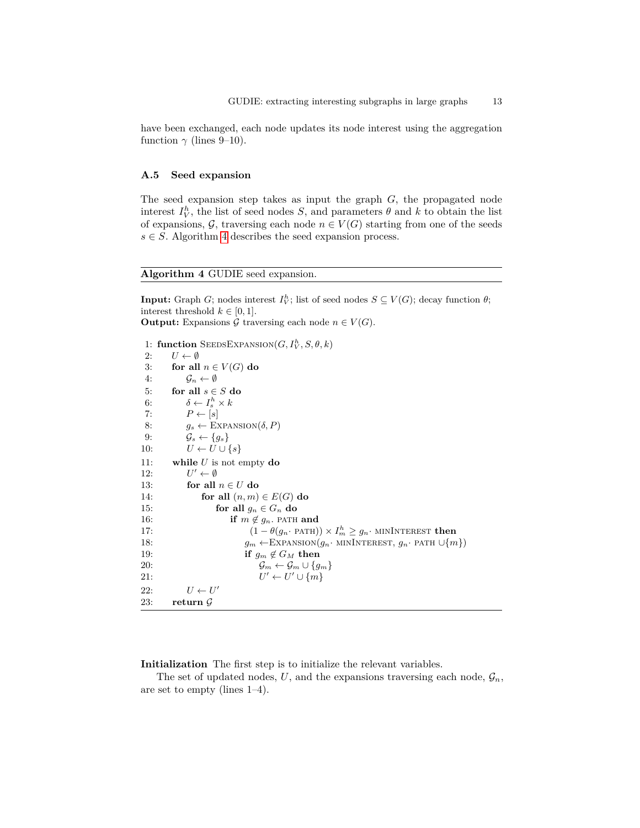have been exchanged, each node updates its node interest using the aggregation function  $\gamma$  (lines 9–10).

#### **A.5 Seed expansion**

The seed expansion step takes as input the graph *G*, the propagated node interest  $I_V^h$ , the list of seed nodes *S*, and parameters  $\theta$  and  $k$  to obtain the list of expansions,  $G$ , traversing each node  $n \in V(G)$  starting from one of the seeds  $s \in S$ . Algorithm [4](#page-12-0) describes the seed expansion process.

# <span id="page-12-0"></span>**Algorithm 4** GUDIE seed expansion.

**Input:** Graph *G*; nodes interest  $I_V^h$ ; list of seed nodes  $S \subseteq V(G)$ ; decay function  $\theta$ ; interest threshold  $k \in [0, 1]$ . **Output:** Expansions G traversing each node  $n \in V(G)$ .

```
1: function SEEDSEXPANSION(G, I_V^h, S, \theta, k)2: U \leftarrow \emptyset3: for all n \in V(G) do
 4: \mathcal{G}_n \leftarrow \emptyset5: for all s \in S do
 6: \delta \leftarrow I_s^h \times k7: P \leftarrow [s]8: g_s \leftarrow \text{EXPANSION}(\delta, P)9: \mathcal{G}_s \leftarrow \{g_s\}10: U \leftarrow U \cup \{s\}11: while U is not empty do
12: U
           U' \leftarrow \emptyset13: for all n \in U do
14: for all (n, m) \in E(G) do
15: for all g_n \in G_n do
16: if m \notin g_n. PATH and
17: (1 - \theta(g_n \cdot \text{PATH})) \times I_m^h \geq g_n \cdot \text{MININTEREST} then
18: g_m \leftarrow \text{EXPANSION}(g_n \cdot \text{MININTEREST}, g_n \cdot \text{PATH } \cup \{m\})19: if g_m \notin G_M then
20: \mathcal{G}_m \leftarrow \mathcal{G}_m \cup \{g_m\}21: U
                                 \ell' \leftarrow U' \cup \{m\}22: U \leftarrow U'23: return G
```
**Initialization** The first step is to initialize the relevant variables.

The set of updated nodes,  $U$ , and the expansions traversing each node,  $\mathcal{G}_n$ , are set to empty (lines 1–4).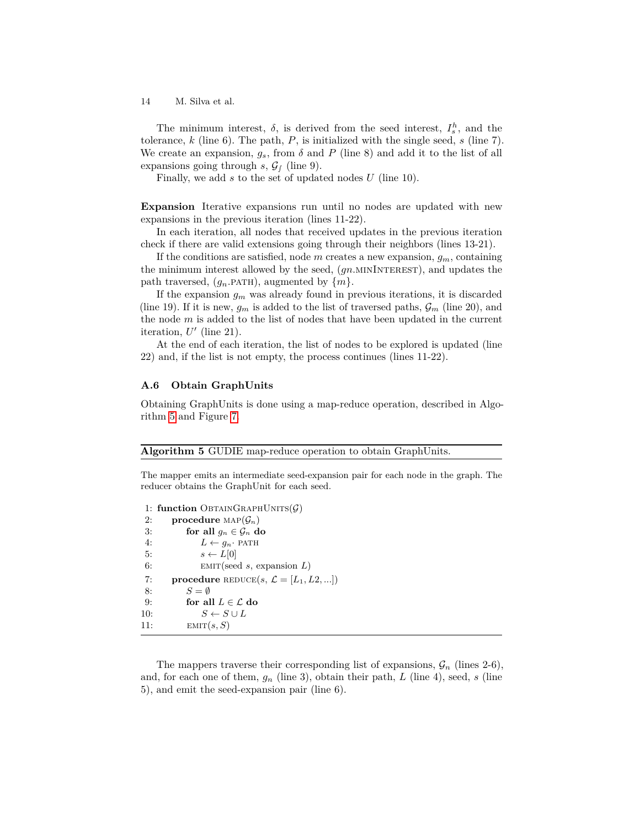The minimum interest,  $\delta$ , is derived from the seed interest,  $I_s^h$ , and the tolerance, *k* (line 6). The path, *P*, is initialized with the single seed, *s* (line 7). We create an expansion,  $g_s$ , from  $\delta$  and  $P$  (line 8) and add it to the list of all expansions going through  $s$ ,  $\mathcal{G}_f$  (line 9).

Finally, we add *s* to the set of updated nodes *U* (line 10).

**Expansion** Iterative expansions run until no nodes are updated with new expansions in the previous iteration (lines 11-22).

In each iteration, all nodes that received updates in the previous iteration check if there are valid extensions going through their neighbors (lines 13-21).

If the conditions are satisfied, node *m* creates a new expansion, *gm*, containing the minimum interest allowed by the seed, (*gn.*minInterest), and updates the path traversed,  $(g_n$ *PATH*), augmented by  $\{m\}$ .

If the expansion *g<sup>m</sup>* was already found in previous iterations, it is discarded (line 19). If it is new,  $g_m$  is added to the list of traversed paths,  $\mathcal{G}_m$  (line 20), and the node *m* is added to the list of nodes that have been updated in the current iteration,  $U'$  (line 21).

At the end of each iteration, the list of nodes to be explored is updated (line 22) and, if the list is not empty, the process continues (lines 11-22).

# **A.6 Obtain GraphUnits**

Obtaining GraphUnits is done using a map-reduce operation, described in Algorithm [5](#page-13-0) and Figure [7.](#page-14-1)

#### <span id="page-13-0"></span>**Algorithm 5** GUDIE map-reduce operation to obtain GraphUnits.

The mapper emits an intermediate seed-expansion pair for each node in the graph. The reducer obtains the GraphUnit for each seed.

1: **function** OBTAINGRAPHUNITS $(G)$ 2: **procedure**  $\text{MAP}(\mathcal{G}_n)$ 3: **for all**  $g_n \in \mathcal{G}_n$  **do** 4:  $L \leftarrow g_n$ · PATH 5:  $s \leftarrow L[0]$ 6: emit(seed *s*, expansion *L*) 7: **procedure** REDUCE $(s, \mathcal{L} = [L_1, L_2, \ldots])$ 8: *S* = ∅ 9: **for all**  $L \in \mathcal{L}$  **do** 10:  $S \leftarrow S \cup L$ 11:  $EMIT(s, S)$ 

The mappers traverse their corresponding list of expansions,  $\mathcal{G}_n$  (lines 2-6), and, for each one of them,  $g_n$  (line 3), obtain their path,  $L$  (line 4), seed,  $s$  (line 5), and emit the seed-expansion pair (line 6).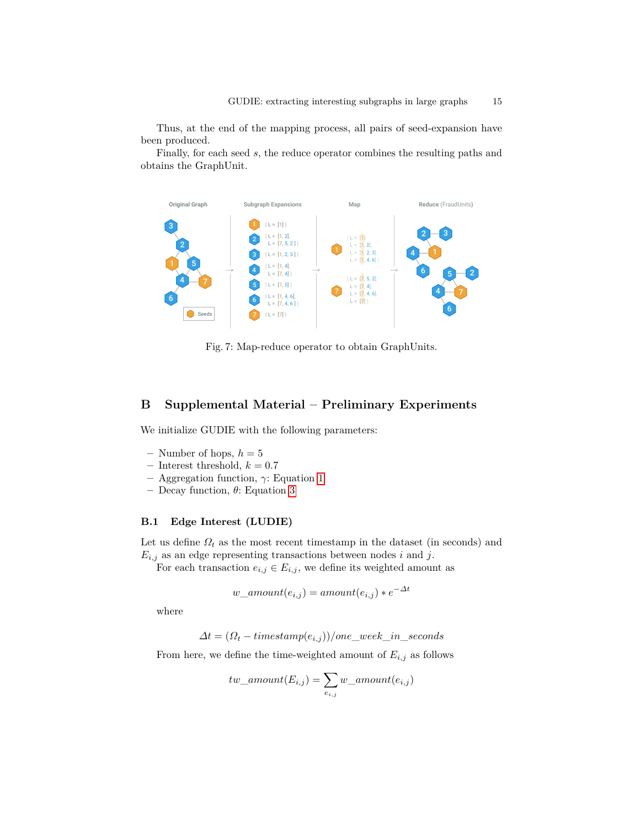Thus, at the end of the mapping process, all pairs of seed-expansion have been produced.

Finally, for each seed *s*, the reduce operator combines the resulting paths and obtains the GraphUnit.

<span id="page-14-1"></span>

Fig. 7: Map-reduce operator to obtain GraphUnits.

# <span id="page-14-0"></span>**B Supplemental Material – Preliminary Experiments**

We initialize GUDIE with the following parameters:

- $-$  Number of hops,  $h = 5$
- $-$  Interest threshold,  $k = 0.7$
- **–** Aggregation function, *γ*: Equation [1](#page-9-3)
- **–** Decay function, *θ*: Equation [3](#page-10-1)

# **B.1 Edge Interest (LUDIE)**

Let us define  $\Omega_t$  as the most recent timestamp in the dataset (in seconds) and  $E_{i,j}$  as an edge representing transactions between nodes *i* and *j*.

For each transaction  $e_{i,j} \in E_{i,j}$ , we define its weighted amount as

$$
w\_amount(e_{i,j}) = amount(e_{i,j}) * e^{-\Delta t}
$$

where

$$
\Delta t = (\Omega_t - timestepsamp(e_{i,j}))/one\_week\_in\_seconds
$$

From here, we define the time-weighted amount of  $E_{i,j}$  as follows

$$
tw\_amount(E_{i,j}) = \sum_{e_{i,j}} w\_amount(e_{i,j})
$$